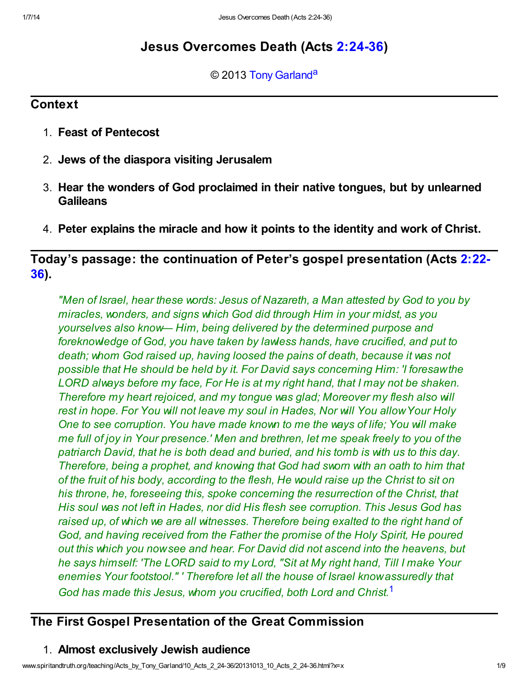# Jesus Overcomes Death (Acts [2:24-36](http://www.spiritandtruth.org/bibles/nasb/b44c002.htm#Acts_C2V24))

<span id="page-0-1"></span>© 2013 [Tony Garland](http://www.spiritandtruth.org/id/tg.htm)<sup>[a](#page-8-0)</sup>

### **Context**

- 1. Feast of Pentecost
- 2. Jews of the diaspora visiting Jerusalem
- 3. Hear the wonders of God proclaimed in their native tongues, but by unlearned **Galileans**
- 4. Peter explains the miracle and how it points to the identity and work of Christ.

[Today's passage: the continuation of Peter's gospel presentation \(Acts 2:22-](http://www.spiritandtruth.org/bibles/nasb/b44c002.htm#Acts_C2V22) 36).

"Men of Israel, hear these words: Jesus of Nazareth, a Man attested by God to you by miracles, wonders, and signs which God did through Him in your midst, as you yourselves also know— Him, being delivered by the determined purpose and foreknowledge of God, you have taken by lawless hands, have crucified, and put to death; whom God raised up, having loosed the pains of death, because it was not possible that He should be held by it. For David says concerning Him: 'I foresaw the LORD always before my face, For He is at my right hand, that I may not be shaken. Therefore my heart rejoiced, and my tongue was glad; Moreover my flesh also will rest in hope. For You will not leave my soul in Hades, Nor will You allow Your Holy One to see corruption. You have made known to me the ways of life; You will make me full of joy in Your presence.' Men and brethren, let me speak freely to you of the patriarch David, that he is both dead and buried, and his tomb is with us to this day. Therefore, being a prophet, and knowing that God had sworn with an oath to him that of the fruit of his body, according to the flesh, He would raise up the Christ to sit on his throne, he, foreseeing this, spoke concerning the resurrection of the Christ, that His soul was not left in Hades, nor did His flesh see corruption. This Jesus God has raised up, of which we are all witnesses. Therefore being exalted to the right hand of God, and having received from the Father the promise of the Holy Spirit, He poured out this which you now see and hear. For David did not ascend into the heavens, but he says himself: 'The LORD said to my Lord, "Sit at My right hand, Till I make Your enemies Your footstool." ' Therefore let all the house of Israel know assuredly that God has made this Jesus, whom you crucified, both Lord and Christ.<sup>[1](#page-8-1)</sup>

## The First Gospel Presentation of the Great Commission

## <span id="page-0-0"></span>1. Almost exclusively Jewish audience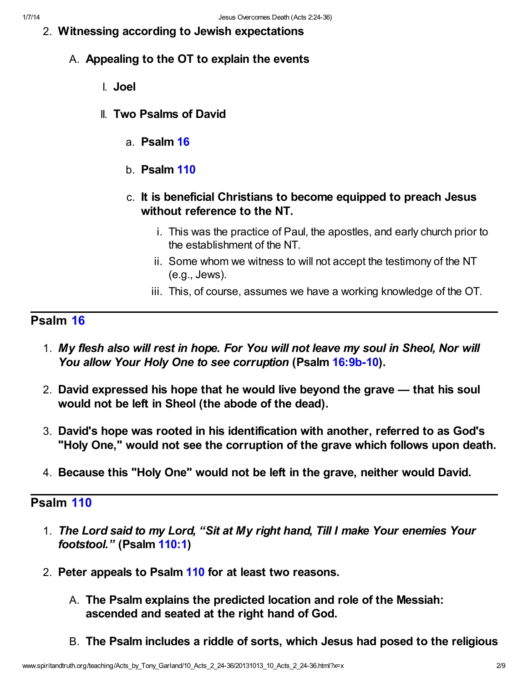- 2. Witnessing according to Jewish expectations
	- A. Appealing to the OT to explain the events
		- I. Joel
		- II. Two Psalms of David
			- a. Psalm [16](http://www.spiritandtruth.org/bibles/nasb/b19c016.htm#Ps._C16V1)
			- b. Psalm [110](http://www.spiritandtruth.org/bibles/nasb/b19c110.htm#Ps._C110V1)
			- c. It is beneficial Christians to become equipped to preach Jesus without reference to the NT.
				- i. This was the practice of Paul, the apostles, and early church prior to the establishment of the NT.
				- ii. Some whom we witness to will not accept the testimony of the NT (e.g., Jews).
				- iii. This, of course, assumes we have a working knowledge of the OT.

## Psalm [16](http://www.spiritandtruth.org/bibles/nasb/b19c016.htm#Ps._C16V1)

- 1. My flesh also will rest in hope. For You will not leave my soul in Sheol, Nor will You allow Your Holy One to see corruption (Psalm [16:9b-10](http://www.spiritandtruth.org/bibles/nasb/b19c016.htm#Ps._C16V9)).
- 2. David expressed his hope that he would live beyond the grave that his soul would not be left in Sheol (the abode of the dead).
- 3. David's hope was rooted in his identification with another, referred to as God's "Holy One," would not see the corruption of the grave which follows upon death.
- 4. Because this "Holy One" would not be left in the grave, neither would David.

### Psalm [110](http://www.spiritandtruth.org/bibles/nasb/b19c110.htm#Ps._C110V1)

- 1. The Lord said to my Lord, "Sit at My right hand, Till I make Your enemies Your footstool." (Psalm [110:1](http://www.spiritandtruth.org/bibles/nasb/b19c110.htm#Ps._C110V1))
- 2. Peter appeals to Psalm [110](http://www.spiritandtruth.org/bibles/nasb/b19c110.htm#Ps._C110V1) for at least two reasons.
	- A. The Psalm explains the predicted location and role of the Messiah: ascended and seated at the right hand of God.
	- B. The Psalm includes a riddle of sorts, which Jesus had posed to the religious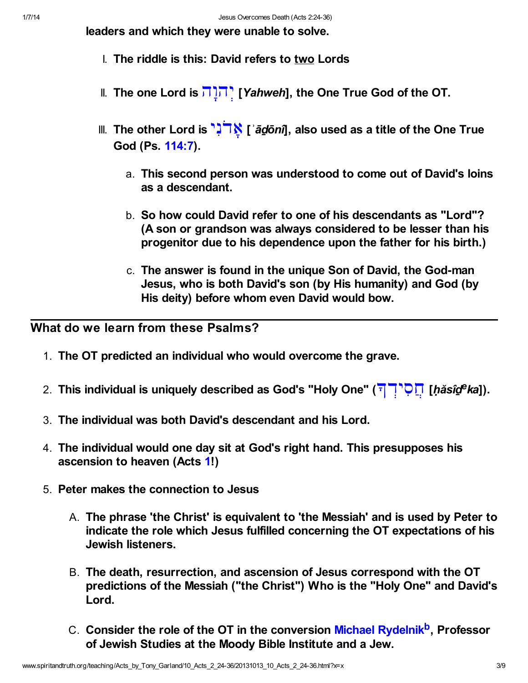leaders and which they were unable to solve.

- I. The riddle is this: David refers to two Lords
- II. The one Lord is **FITE** [Yahweh], the One True God of the OT.
- III. The other Lord is  $\mathbf{R}^{\mathsf{T}}$  (  $\mathbf{\tilde{a}}$  do ni), also used as a title of the One True God (Ps. [114:7](http://www.spiritandtruth.org/bibles/nasb/b19c114.htm#Ps._C114V7)).
	- a. This second person was understood to come out of David's loins as a descendant.
	- b. So how could David refer to one of his descendants as "Lord"? (A son or grandson was always considered to be lesser than his progenitor due to his dependence upon the father for his birth.)
	- c. The answer is found in the unique Son of David, the God-man Jesus, who is both David's son (by His humanity) and God (by His deity) before whom even David would bow.

What do we learn from these Psalms?

- 1. The OT predicted an individual who would overcome the grave.
- 2. This individual is uniquely described as God's "Holy One" (רְ<sup>אָמָי</sup>הָ [*ḥăsîdeka*]).
- 3. The individual was both David's descendant and his Lord.
- 4. The individual would one day sit at God's right hand. This presupposes his ascension to heaven (Acts [1](http://www.spiritandtruth.org/bibles/nasb/b44c001.htm#Acts_C1V1)!)
- <span id="page-2-0"></span>5. Peter makes the connection to Jesus
	- A. The phrase 'the Christ' is equivalent to 'the Messiah' and is used by Peter to indicate the role which Jesus fulfilled concerning the OT expectations of his Jewish listeners.
	- B. The death, resurrection, and ascension of Jesus correspond with the OT predictions of the Messiah ("the Christ") Who is the "Holy One" and David's Lord.
	- C. Consider the role of the OT in the conversion [Michael Rydelnik](http://www.michaelrydelnik.org/)<sup>[b](#page-8-2)</sup>, Professor of Jewish Studies at the Moody Bible Institute and a Jew.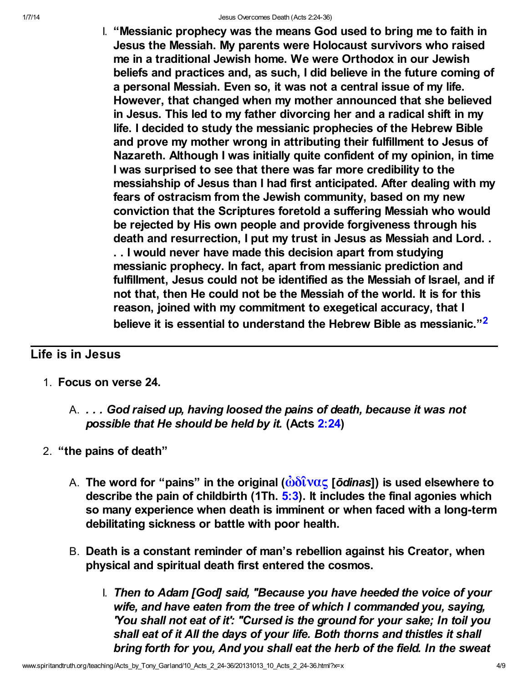I. "Messianic prophecy was the means God used to bring me to faith in Jesus the Messiah. My parents were Holocaust survivors who raised me in a traditional Jewish home. We were Orthodox in our Jewish beliefs and practices and, as such, I did believe in the future coming of a personal Messiah. Even so, it was not a central issue of my life. However, that changed when my mother announced that she believed in Jesus. This led to my father divorcing her and a radical shift in my life. I decided to study the messianic prophecies of the Hebrew Bible and prove my mother wrong in attributing their fulfillment to Jesus of Nazareth. Although I was initially quite confident of my opinion, in time I was surprised to see that there was far more credibility to the messiahship of Jesus than I had first anticipated. After dealing with my fears of ostracism from the Jewish community, based on my new conviction that the Scriptures foretold a suffering Messiah who would be rejected by His own people and provide forgiveness through his death and resurrection, I put my trust in Jesus as Messiah and Lord. . . . I would never have made this decision apart from studying messianic prophecy. In fact, apart from messianic prediction and fulfillment, Jesus could not be identified as the Messiah of Israel, and if not that, then He could not be the Messiah of the world. It is for this reason, joined with my commitment to exegetical accuracy, that I believe it is essential to understand the Hebrew Bible as messianic."<sup>[2](#page-8-3)</sup>

## Life is in Jesus

- <span id="page-3-0"></span>1. Focus on verse 24.
	- A. . . . God raised up, having loosed the pains of death, because it was not possible that He should be held by it. (Acts [2:24](http://www.spiritandtruth.org/bibles/nasb/b44c002.htm#Acts_C2V24))
- 2. "the pains of death"
	- A. The word for "pains" in the original  $(\omega\delta\hat{\mathbf{i}}\mathbf{v}\alpha\boldsymbol{\zeta}$  [odinas]) is used elsewhere to describe the pain of childbirth (1Th.  $5:3$ ). It includes the final agonies which so many experience when death is imminent or when faced with a long-term debilitating sickness or battle with poor health.
	- B. Death is a constant reminder of man's rebellion against his Creator, when physical and spiritual death first entered the cosmos.
		- I. Then to Adam [God] said, "Because you have heeded the voice of your wife, and have eaten from the tree of which I commanded you, saying, 'You shall not eat of it': "Cursed is the ground for your sake; In toil you shall eat of it All the days of your life. Both thorns and thistles it shall bring forth for you, And you shall eat the herb of the field. In the sweat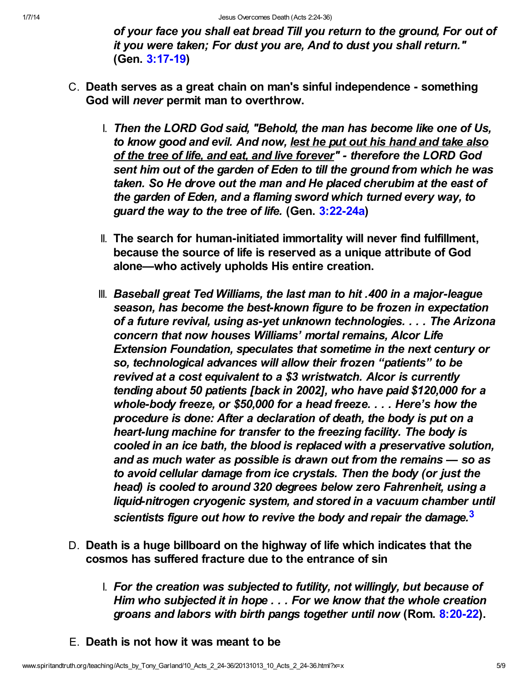of your face you shall eat bread Till you return to the ground, For out of it you were taken; For dust you are, And to dust you shall return." (Gen. [3:17-19\)](http://www.spiritandtruth.org/bibles/nasb/b01c003.htm#Gen._C3V17)

- C. Death serves as a great chain on man's sinful independence something God will never permit man to overthrow.
	- I. Then the LORD God said, "Behold, the man has become like one of Us, to know good and evil. And now, lest he put out his hand and take also of the tree of life, and eat, and live forever" - therefore the LORD God sent him out of the garden of Eden to till the ground from which he was taken. So He drove out the man and He placed cherubim at the east of the garden of Eden, and a flaming sword which turned every way, to guard the way to the tree of life. (Gen. [3:22-24a](http://www.spiritandtruth.org/bibles/nasb/b01c003.htm#Gen._C3V22))
	- II. The search for human-initiated immortality will never find fulfillment, because the source of life is reserved as a unique attribute of God alone—who actively upholds His entire creation.
	- III. Baseball great Ted Williams, the last man to hit .400 in a major-league season, has become the best-known figure to be frozen in expectation of a future revival, using as-yet unknown technologies. . . . The Arizona concern that now houses Williams' mortal remains, Alcor Life Extension Foundation, speculates that sometime in the next century or so, technological advances will allow their frozen "patients" to be revived at a cost equivalent to a \$3 wristwatch. Alcor is currently tending about 50 patients [back in 2002], who have paid \$120,000 for a whole-body freeze, or \$50,000 for a head freeze. . . . Here's how the procedure is done: After a declaration of death, the body is put on a heart-lung machine for transfer to the freezing facility. The body is cooled in an ice bath, the blood is replaced with a preservative solution, and as much water as possible is drawn out from the remains — so as to avoid cellular damage from ice crystals. Then the body (or just the head) is cooled to around 320 degrees below zero Fahrenheit, using a liquid-nitrogen cryogenic system, and stored in a vacuum chamber until scientists figure out how to revive the body and repair the damage.<sup>[3](#page-8-4)</sup>
- <span id="page-4-0"></span>D. Death is a huge billboard on the highway of life which indicates that the cosmos has suffered fracture due to the entrance of sin
	- I. For the creation was subjected to futility, not willingly, but because of Him who subjected it in hope . . . For we know that the whole creation groans and labors with birth pangs together until now (Rom. [8:20-22](http://www.spiritandtruth.org/bibles/nasb/b45c008.htm#Rom._C8V20)).
- E. Death is not how it was meant to be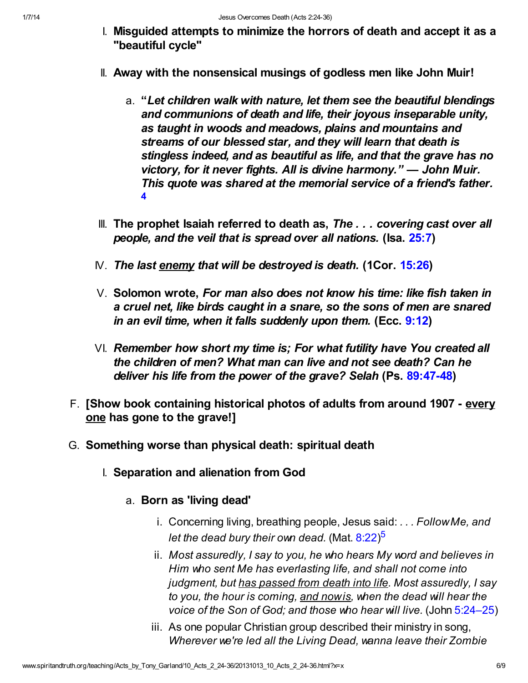- I. Misguided attempts to minimize the horrors of death and accept it as a "beautiful cycle"
- II. Away with the nonsensical musings of godless men like John Muir!
	- a. "Let children walk with nature, let them see the beautiful blendings and communions of death and life, their joyous inseparable unity, as taught in woods and meadows, plains and mountains and streams of our blessed star, and they will learn that death is stingless indeed, and as beautiful as life, and that the grave has no victory, for it never fights. All is divine harmony." — John Muir. This quote was shared at the memorial service of a friend's father. [4](#page-8-5)
- <span id="page-5-0"></span>III. The prophet Isaiah referred to death as, The ... covering cast over all people, and the veil that is spread over all nations. (Isa. [25:7\)](http://www.spiritandtruth.org/bibles/nasb/b23c025.htm#Isa._C25V7)
- $N.$  The last enemy that will be destroyed is death. (1Cor. [15:26\)](http://www.spiritandtruth.org/bibles/nasb/b46c015.htm#1Cor._C15V26)
- V. Solomon wrote, For man also does not know his time: like fish taken in a cruel net, like birds caught in a snare, so the sons of men are snared in an evil time, when it falls suddenly upon them. (Ecc. [9:12\)](http://www.spiritandtruth.org/bibles/nasb/b21c009.htm#Ecc._C9V12)
- VI. Remember how short my time is; For what futility have You created all the children of men? What man can live and not see death? Can he deliver his life from the power of the grave? Selah (Ps. [89:47-48\)](http://www.spiritandtruth.org/bibles/nasb/b19c089.htm#Ps._C89V47)
- F. [Show book containing historical photos of adults from around 1907 every one has gone to the grave!]
- <span id="page-5-1"></span>G. Something worse than physical death: spiritual death
	- I. Separation and alienation from God
		- a. Born as 'living dead'
			- i. Concerning living, breathing people, Jesus said: . . . Follow Me, and let the dead bury their own dead. (Mat. [8:22](http://www.spiritandtruth.org/bibles/nasb/b40c008.htm#Mat._C8V22))<sup>[5](#page-8-6)</sup>
			- ii. Most assuredly, I say to you, he who hears My word and believes in Him who sent Me has everlasting life, and shall not come into judgment, but has passed from death into life. Most assuredly, I say to you, the hour is coming, and now is, when the dead will hear the voice of the Son of God; and those who hear will live. (John [5:24–25\)](http://www.spiritandtruth.org/bibles/nasb/b43c005.htm#John_C5V24)
			- iii. As one popular Christian group described their ministry in song, Wherever we're led all the Living Dead, wanna leave their Zombie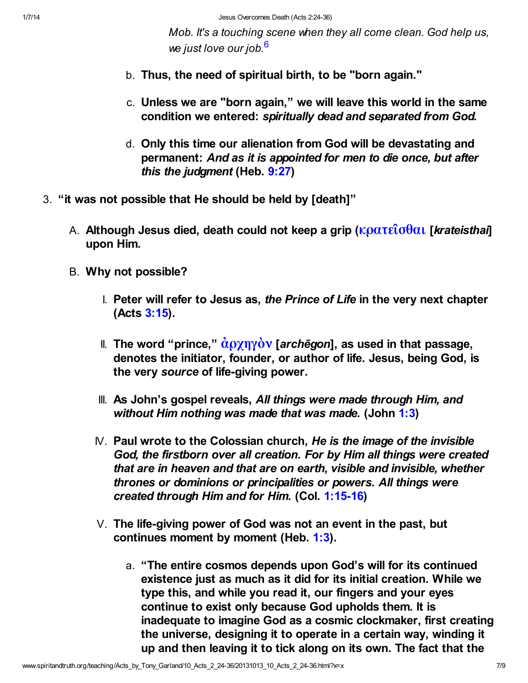<span id="page-6-0"></span>Mob. It's a touching scene when they all come clean. God help us, we just love our job.<sup>[6](#page-8-7)</sup>

- b. Thus, the need of spiritual birth, to be "born again."
- c. Unless we are "born again," we will leave this world in the same condition we entered: spiritually dead and separated from God.
- d. Only this time our alienation from God will be devastating and permanent: And as it is appointed for men to die once, but after this the judgment (Heb. [9:27](http://www.spiritandtruth.org/bibles/nasb/b58c009.htm#Heb._C9V27))
- 3. "it was not possible that He should be held by [death]"
	- A. Although Jesus died, death could not keep a grip (κρατεΐσθαι [krateisthai] upon Him.
	- B. Why not possible?
		- I. Peter will refer to Jesus as, the Prince of Life in the very next chapter (Acts [3:15\)](http://www.spiritandtruth.org/bibles/nasb/b44c003.htm#Acts_C3V15).
		- II. The word "prince,"  $\dot{\alpha}$  (χηγὸν [archēgon], as used in that passage, denotes the initiator, founder, or author of life. Jesus, being God, is the very source of life-giving power.
		- III. As John's gospel reveals, All things were made through Him, and without Him nothing was made that was made. (John [1:3](http://www.spiritandtruth.org/bibles/nasb/b43c001.htm#John_C1V3))
		- $N.$  Paul wrote to the Colossian church, He is the image of the invisible God, the firstborn over all creation. For by Him all things were created that are in heaven and that are on earth, visible and invisible, whether thrones or dominions or principalities or powers. All things were created through Him and for Him. (Col. [1:15-16](http://www.spiritandtruth.org/bibles/nasb/b51c001.htm#Col._C1V15))
		- V. The life-giving power of God was not an event in the past, but continues moment by moment (Heb. [1:3](http://www.spiritandtruth.org/bibles/nasb/b58c001.htm#Heb._C1V3)).
			- a. "The entire cosmos depends upon God's will for its continued existence just as much as it did for its initial creation. While we type this, and while you read it, our fingers and your eyes continue to exist only because God upholds them. It is inadequate to imagine God as a cosmic clockmaker, first creating the universe, designing it to operate in a certain way, winding it up and then leaving it to tick along on its own. The fact that the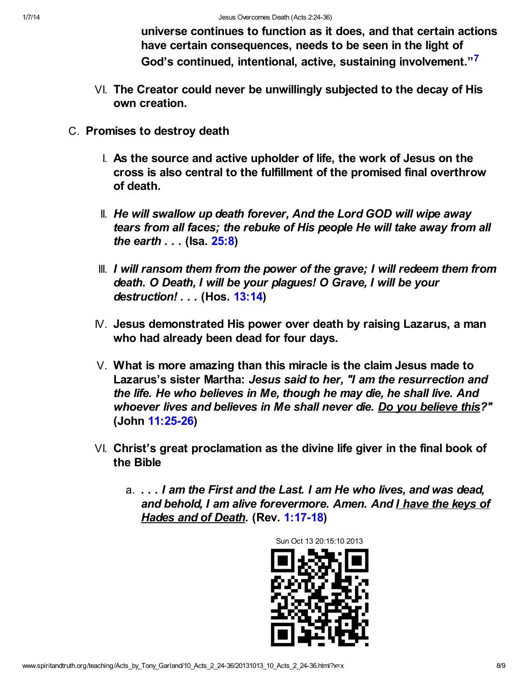<span id="page-7-0"></span>universe continues to function as it does, and that certain actions have certain consequences, needs to be seen in the light of God's continued, intentional, active, sustaining involvement."[7](#page-8-8)

- VI. The Creator could never be unwillingly subjected to the decay of His own creation.
- C. Promises to destroy death
	- I. As the source and active upholder of life, the work of Jesus on the cross is also central to the fulfillment of the promised final overthrow of death.
	- II. He will swallow up death forever, And the Lord GOD will wipe away tears from all faces; the rebuke of His people He will take away from all the earth . . . (Isa. [25:8\)](http://www.spiritandtruth.org/bibles/nasb/b23c025.htm#Isa._C25V8)
	- III. I will ransom them from the power of the grave; I will redeem them from death. O Death, I will be your plagues! O Grave, I will be your destruction! . . . (Hos. [13:14](http://www.spiritandtruth.org/bibles/nasb/b28c013.htm#Hos._C13V14))
	- IV. Jesus demonstrated His power over death by raising Lazarus, a man who had already been dead for four days.
	- V. What is more amazing than this miracle is the claim Jesus made to Lazarus's sister Martha: Jesus said to her, "I am the resurrection and the life. He who believes in Me, though he may die, he shall live. And whoever lives and believes in Me shall never die. Do you believe this?" (John [11:25-26](http://www.spiritandtruth.org/bibles/nasb/b43c011.htm#John_C11V25))
	- VI. Christ's great proclamation as the divine life giver in the final book of the Bible
		- a. . . . I am the First and the Last. I am He who lives, and was dead, and behold, I am alive forevermore. Amen. And I have the keys of Hades and of Death. (Rev. [1:17-18\)](http://www.spiritandtruth.org/bibles/nasb/b66c001.htm#Rev._C1V17)